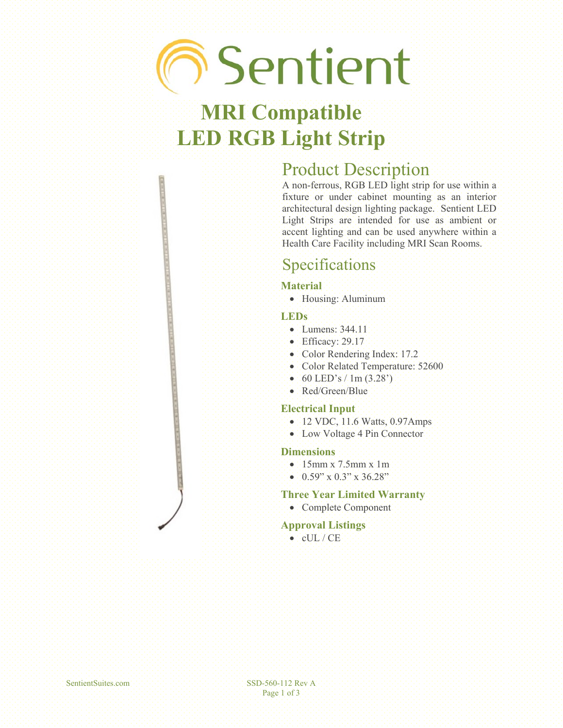# **Sentient**

# **MRI Compatible LED RGB Light Strip**

## Product Description

A non-ferrous, RGB LED light strip for use within a fixture or under cabinet mounting as an interior architectural design lighting package. Sentient LED Light Strips are intended for use as ambient or accent lighting and can be used anywhere within a Health Care Facility including MRI Scan Rooms.

## Specifications

#### **Material**

• Housing: Aluminum

#### **LEDs**

- **Lumens: 344.11**
- $\bullet$  Efficacy: 29.17
- Color Rendering Index: 17.2
- **Color Related Temperature: 52600**
- $\bullet$  60 LED's / 1m (3.28')
- Red/Green/Blue

#### **Electrical Input**

- 12 VDC, 11.6 Watts, 0.97Amps
- Low Voltage 4 Pin Connector

#### **Dimensions**

- $\bullet$  15mm x 7.5mm x 1m
- $\bullet$  0.59" x 0.3" x 36.28"

#### **Three Year Limited Warranty**

• Complete Component

#### **Approval Listings**

 $\bullet$  cUL / CE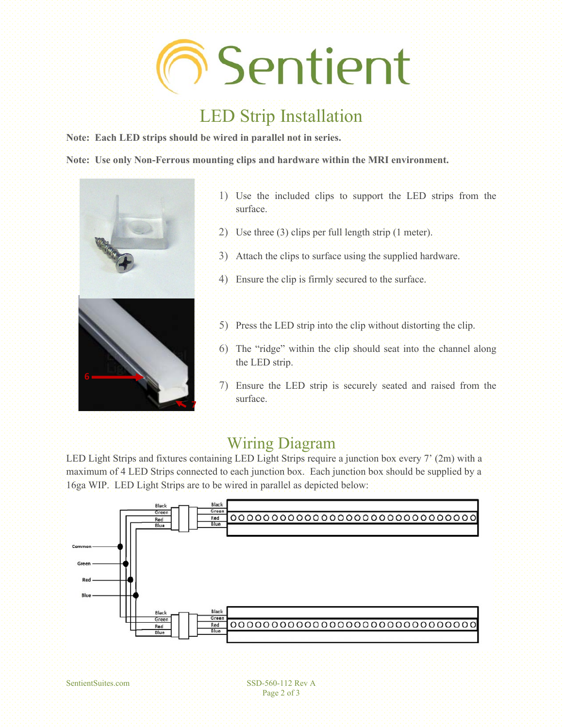

## LED Strip Installation

**Note: Each LED strips should be wired in parallel not in series.** 

**Note: Use only Non-Ferrous mounting clips and hardware within the MRI environment.** 



- 1) Use the included clips to support the LED strips from the surface.
- 2) Use three (3) clips per full length strip (1 meter).
- 3) Attach the clips to surface using the supplied hardware.
- 4) Ensure the clip is firmly secured to the surface.
- 5) Press the LED strip into the clip without distorting the clip.
- 6) The "ridge" within the clip should seat into the channel along the LED strip.
- 7) Ensure the LED strip is securely seated and raised from the surface.

### Wiring Diagram

LED Light Strips and fixtures containing LED Light Strips require a junction box every 7' (2m) with a maximum of 4 LED Strips connected to each junction box. Each junction box should be supplied by a 16ga WIP. LED Light Strips are to be wired in parallel as depicted below: